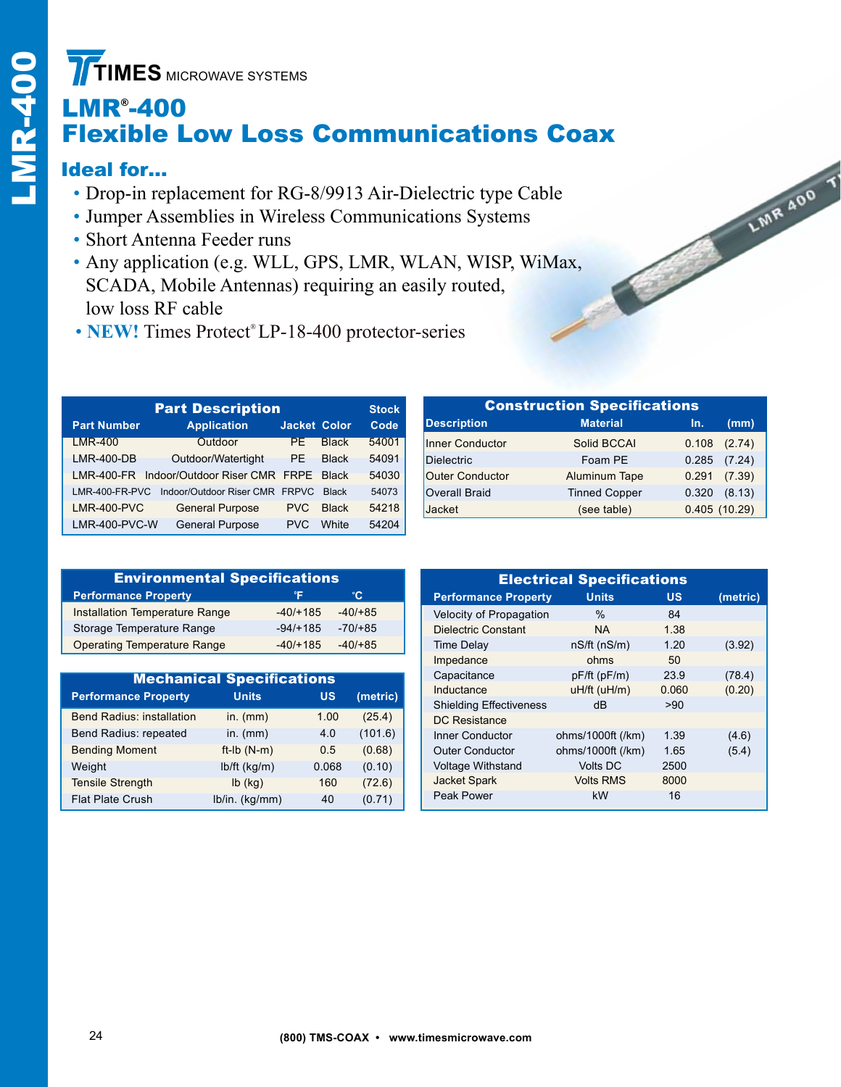# LMR® -400 Flexible Low Loss Communications Coax

## Ideal for…

- Drop-in replacement for RG-8/9913 Air-Dielectric type Cable
- • Jumper Assemblies in Wireless Communications Systems
- • Short Antenna Feeder runs
- Any application (e.g. WLL, GPS, LMR, WLAN, WISP, WiMax, SCADA, Mobile Antennas) requiring an easily routed, low loss RF cable
- **NEW!** Times Protect® LP-18-400 protector-series

| <b>Part Description</b> |                                          |                     |              |       |  |  |  |
|-------------------------|------------------------------------------|---------------------|--------------|-------|--|--|--|
| <b>Part Number</b>      | <b>Application</b>                       | <b>Jacket Color</b> |              | Code  |  |  |  |
| <b>LMR-400</b>          | Outdoor                                  | PE.                 | <b>Black</b> | 54001 |  |  |  |
| <b>LMR-400-DB</b>       | Outdoor/Watertight                       | PE.                 | <b>Black</b> | 54091 |  |  |  |
|                         | LMR-400-FR Indoor/Outdoor Riser CMR FRPE |                     | <b>Black</b> | 54030 |  |  |  |
| $LMR-400-FR-PVC$        | Indoor/Outdoor Riser CMR FRPVC           |                     | <b>Black</b> | 54073 |  |  |  |
| <b>LMR-400-PVC</b>      | <b>General Purpose</b>                   | PVC.                | <b>Black</b> | 54218 |  |  |  |
| LMR-400-PVC-W           | <b>General Purpose</b>                   | <b>PVC</b>          | <b>White</b> | 54204 |  |  |  |

| <b>Environmental Specifications</b>   |            |             |  |  |  |  |
|---------------------------------------|------------|-------------|--|--|--|--|
| <b>Performance Property</b>           | °F         | °C.         |  |  |  |  |
| <b>Installation Temperature Range</b> | $-40/+185$ | $-40/ + 85$ |  |  |  |  |
| Storage Temperature Range             | $-94/+185$ | $-70/+85$   |  |  |  |  |
| <b>Operating Temperature Range</b>    | $-40/+185$ | $-40/+85$   |  |  |  |  |

| <b>Mechanical Specifications</b> |                |           |          |  |  |  |
|----------------------------------|----------------|-----------|----------|--|--|--|
| <b>Performance Property</b>      | <b>Units</b>   | <b>US</b> | (metric) |  |  |  |
| <b>Bend Radius: installation</b> | in. $(mm)$     | 1.00      | (25.4)   |  |  |  |
| Bend Radius: repeated            | in. $(mm)$     | 4.0       | (101.6)  |  |  |  |
| <b>Bending Moment</b>            | $ft-lb(N-m)$   | 0.5       | (0.68)   |  |  |  |
| Weight                           | $lb/ft$ (kg/m) | 0.068     | (0.10)   |  |  |  |
| <b>Tensile Strength</b>          | $lb$ (kg)      | 160       | (72.6)   |  |  |  |
| <b>Flat Plate Crush</b>          | lb/in. (kg/mm) | 40        | (0.71)   |  |  |  |

| <b>Construction Specifications</b> |                      |              |        |  |  |  |  |
|------------------------------------|----------------------|--------------|--------|--|--|--|--|
| <b>Description</b>                 | <b>Material</b>      | In.          | (mm)   |  |  |  |  |
| Inner Conductor                    | Solid BCCAI          | 0.108        | (2.74) |  |  |  |  |
| Dielectric                         | Foam PE              | 0.285        | (7.24) |  |  |  |  |
| <b>Outer Conductor</b>             | Aluminum Tape        | 0.291        | (7.39) |  |  |  |  |
| <b>Overall Braid</b>               | <b>Tinned Copper</b> | 0.320        | (8.13) |  |  |  |  |
| Jacket                             | (see table)          | 0.405(10.29) |        |  |  |  |  |

LIMA 400

| <b>Electrical Specifications</b> |                   |           |          |  |  |  |  |
|----------------------------------|-------------------|-----------|----------|--|--|--|--|
| <b>Performance Property</b>      | <b>Units</b>      | <b>US</b> | (metric) |  |  |  |  |
| Velocity of Propagation          | $\%$              | 84        |          |  |  |  |  |
| Dielectric Constant              | <b>NA</b>         | 1.38      |          |  |  |  |  |
| <b>Time Delay</b>                | nS/ft(nS/m)       | 1.20      | (3.92)   |  |  |  |  |
| Impedance                        | ohms              | 50        |          |  |  |  |  |
| Capacitance                      | pF/ft (pF/m)      | 23.9      | (78.4)   |  |  |  |  |
| Inductance                       | uH/ft (uH/m)      | 0.060     | (0.20)   |  |  |  |  |
| <b>Shielding Effectiveness</b>   | dB                | >90       |          |  |  |  |  |
| DC Resistance                    |                   |           |          |  |  |  |  |
| Inner Conductor                  | ohms/1000ft (/km) | 1.39      | (4.6)    |  |  |  |  |
| <b>Outer Conductor</b>           | ohms/1000ft (/km) | 1.65      | (5.4)    |  |  |  |  |
| <b>Voltage Withstand</b>         | <b>Volts DC</b>   | 2500      |          |  |  |  |  |
| <b>Jacket Spark</b>              | <b>Volts RMS</b>  | 8000      |          |  |  |  |  |
| Peak Power                       | kW                | 16        |          |  |  |  |  |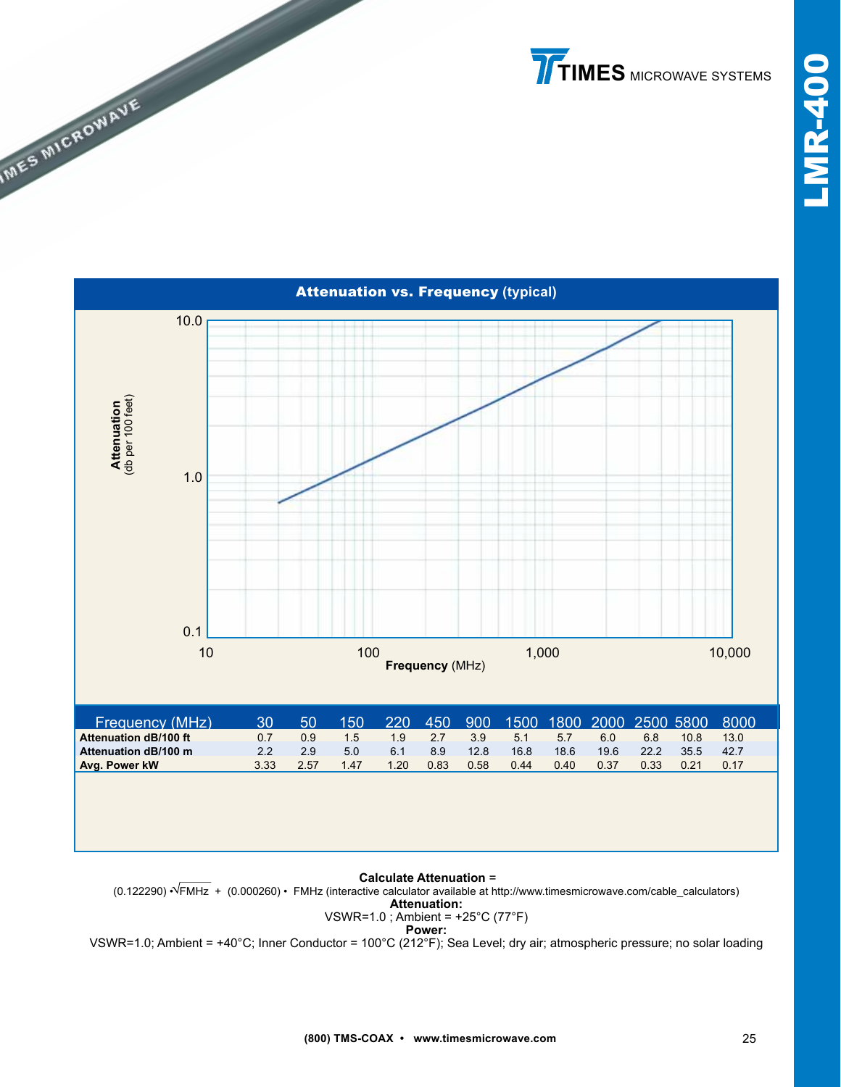**TIMES** MICROWAVE SYSTEMS



**MES MICROWAVE** 

### **Calculate Attenuation** =

(0.122290) • FMHz + (0.000260) • FMHz (interactive calculator available at http://www.timesmicrowave.com/cable\_calculators) **Attenuation:**

#### VSWR=1.0 ; Ambient = +25°C (77°F) **Power:**

VSWR=1.0; Ambient = +40°C; Inner Conductor = 100°C (212°F); Sea Level; dry air; atmospheric pressure; no solar loading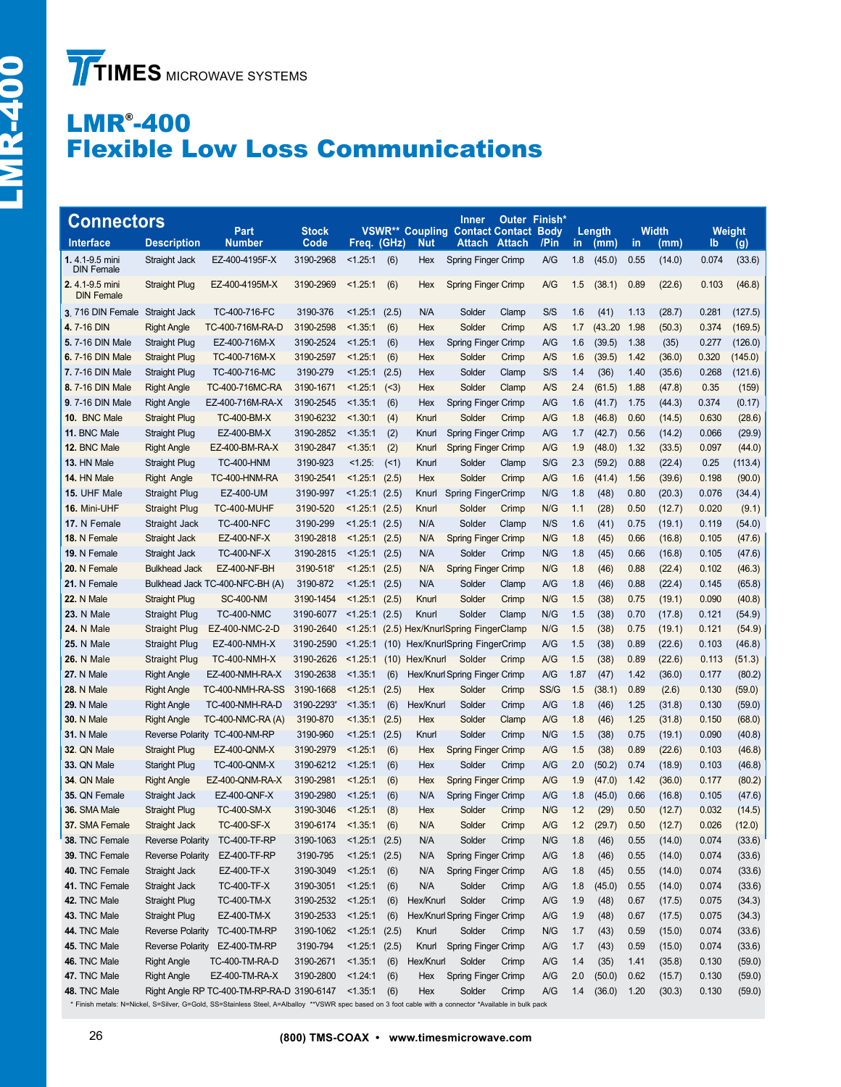# LMR® -400 Flexible Low Loss Communications

| <b>Connectors</b>                   | <b>Stock</b>            |                                                                                                                                                        |                   |                  | <b>Inner</b><br><b>VSWR** Coupling Contact Contact</b> |            | Outer Finish*<br><b>Body</b>      |               | Length         |      | <b>Width</b> |      | Weight |       |         |
|-------------------------------------|-------------------------|--------------------------------------------------------------------------------------------------------------------------------------------------------|-------------------|------------------|--------------------------------------------------------|------------|-----------------------------------|---------------|----------------|------|--------------|------|--------|-------|---------|
| <b>Interface</b>                    | <b>Description</b>      | Part<br><b>Number</b>                                                                                                                                  | Code              | Freq. (GHz)      |                                                        | Nut        | <b>Attach</b>                     | <b>Attach</b> | /Pin           | in   | (mm)         | in   | (mm)   | lb    | (g)     |
| 1.4.1-9.5 mini<br><b>DIN Female</b> | Straight Jack           | EZ-400-4195F-X                                                                                                                                         | 3190-2968         | < 1.25:1         | (6)                                                    | Hex        | <b>Spring Finger Crimp</b>        |               | A/G            | 1.8  | (45.0)       | 0.55 | (14.0) | 0.074 | (33.6)  |
| 2.4.1-9.5 mini<br><b>DIN Female</b> | <b>Straight Plug</b>    | EZ-400-4195M-X                                                                                                                                         | 3190-2969         | < 1.25:1         | (6)                                                    | Hex        | <b>Spring Finger Crimp</b>        |               | A/G            | 1.5  | (38.1)       | 0.89 | (22.6) | 0.103 | (46.8)  |
| 3.716 DIN Female Straight Jack      |                         | TC-400-716-FC                                                                                                                                          | 3190-376          | < 1.25:1         | (2.5)                                                  | N/A        | Solder                            | Clamp         | S/S            | 1.6  | (41)         | 1.13 | (28.7) | 0.281 | (127.5) |
| 4.7-16 DIN                          | <b>Right Angle</b>      | TC-400-716M-RA-D                                                                                                                                       | 3190-2598         | < 1.35:1         | (6)                                                    | Hex        | Solder                            | Crimp         | A/S            | 1.7  | (4320)       | 1.98 | (50.3) | 0.374 | (169.5) |
| 5.7-16 DIN Male                     | Straight Plug           | EZ-400-716M-X                                                                                                                                          | 3190-2524         | < 1.25:1         | (6)                                                    | Hex        | Spring Finger Crimp               |               | A/G            | 1.6  | (39.5)       | 1.38 | (35)   | 0.277 | (126.0) |
| 6.7-16 DIN Male                     | Straight Plug           | TC-400-716M-X                                                                                                                                          | 3190-2597         | < 1.25:1         | (6)                                                    | Hex        | Solder                            | Crimp         | A/S            | 1.6  | (39.5)       | 1.42 | (36.0) | 0.320 | (145.0) |
| 7.7-16 DIN Male                     | <b>Straight Plug</b>    | TC-400-716-MC                                                                                                                                          | 3190-279          | < 1.25:1         | (2.5)                                                  | Hex        | Solder                            | Clamp         | S/S            | 1.4  | (36)         | 1.40 | (35.6) | 0.268 | (121.6) |
| 8.7-16 DIN Male                     | <b>Right Angle</b>      | TC-400-716MC-RA                                                                                                                                        | 3190-1671         | < 1.25:1         | ( < 3)                                                 | Hex        | Solder                            | Clamp         | A/S            | 2.4  | (61.5)       | 1.88 | (47.8) | 0.35  | (159)   |
| <b>9.7-16 DIN Male</b>              | <b>Right Angle</b>      | EZ-400-716M-RA-X                                                                                                                                       | 3190-2545         | < 1.35:1         | (6)                                                    | Hex        | Spring Finger Crimp               |               | A/G            | 1.6  | (41.7)       | 1.75 | (44.3) | 0.374 | (0.17)  |
| 10. BNC Male                        | <b>Straight Plug</b>    | <b>TC-400-BM-X</b>                                                                                                                                     | 3190-6232         | < 1.30:1         | (4)                                                    | Knurl      | Solder                            | Crimp         | A/G            | 1.8  | (46.8)       | 0.60 | (14.5) | 0.630 | (28.6)  |
| 11. BNC Male                        | <b>Straight Plug</b>    | EZ-400-BM-X                                                                                                                                            | 3190-2852         | < 1.35:1         | (2)                                                    | Knurl      | Spring Finger Crimp               |               | A/G            | 1.7  | (42.7)       | 0.56 | (14.2) | 0.066 | (29.9)  |
| 12. BNC Male                        | <b>Right Angle</b>      | EZ-400-BM-RA-X                                                                                                                                         | 3190-2847         | < 1.35:1         | (2)                                                    | Knurl      | <b>Spring Finger Crimp</b>        |               | A/G            | 1.9  | (48.0)       | 1.32 | (33.5) | 0.097 | (44.0)  |
| 13. HN Male                         | <b>Straight Plug</b>    | <b>TC-400-HNM</b>                                                                                                                                      | 3190-923          | $< 1.25$ :       | (1)                                                    | Knurl      | Solder                            | Clamp         | S/G            | 2.3  | (59.2)       | 0.88 | (22.4) | 0.25  | (113.4) |
| 14. HN Male                         | <b>Right Angle</b>      | TC-400-HNM-RA                                                                                                                                          | 3190-2541         | < 1.25:1         | (2.5)                                                  | Hex        | Solder                            | Crimp         | A/G            | 1.6  | (41.4)       | 1.56 | (39.6) | 0.198 | (90.0)  |
| 15. UHF Male                        | <b>Straight Plug</b>    | EZ-400-UM                                                                                                                                              | 3190-997          | < 1.25:1         | (2.5)                                                  | Knurl      | Spring FingerCrimp                |               | N/G            | 1.8  | (48)         | 0.80 | (20.3) | 0.076 | (34.4)  |
| 16. Mini-UHF                        | Straight Plug           | TC-400-MUHF                                                                                                                                            | 3190-520          | < 1.25:1         | (2.5)                                                  | Knurl      | Solder                            | Crimp         | N/G            | 1.1  | (28)         | 0.50 | (12.7) | 0.020 | (9.1)   |
| 17. N Female                        | Straight Jack           | <b>TC-400-NFC</b>                                                                                                                                      | 3190-299          | < 1.25:1         | (2.5)                                                  | N/A        | Solder                            | Clamp         | N/S            | 1.6  | (41)         | 0.75 | (19.1) | 0.119 | (54.0)  |
| 18. N Female                        | Straight Jack           | EZ-400-NF-X                                                                                                                                            | 3190-2818         | < 1.25:1         | (2.5)                                                  | N/A        | <b>Spring Finger Crimp</b>        |               | N/G            | 1.8  | (45)         | 0.66 | (16.8) | 0.105 | (47.6)  |
| 19. N Female                        | Straight Jack           | <b>TC-400-NF-X</b>                                                                                                                                     | 3190-2815         | < 1.25:1         | (2.5)                                                  | N/A        | Solder                            | Crimp         | N/G            | 1.8  | (45)         | 0.66 | (16.8) | 0.105 | (47.6)  |
| 20. N Female                        | <b>Bulkhead Jack</b>    | EZ-400-NF-BH                                                                                                                                           | 3190-518          | < 1.25:1         | (2.5)                                                  | N/A        | <b>Spring Finger Crimp</b>        |               | N/G            | 1.8  | (46)         | 0.88 | (22.4) | 0.102 | (46.3)  |
| 21. N Female                        |                         | Bulkhead Jack TC-400-NFC-BH (A)                                                                                                                        | 3190-872          | < 1.25:1         | (2.5)                                                  | N/A        | Solder                            | Clamp         | A/G            | 1.8  | (46)         | 0.88 | (22.4) | 0.145 | (65.8)  |
| <b>22. N Male</b>                   | <b>Straight Plug</b>    | <b>SC-400-NM</b>                                                                                                                                       | 3190-1454         | < 1.25:1         | (2.5)                                                  | Knurl      | Solder                            | Crimp         | N/G            | 1.5  | (38)         | 0.75 | (19.1) | 0.090 | (40.8)  |
| 23. N Male                          | Straight Plug           | <b>TC-400-NMC</b>                                                                                                                                      | 3190-6077         | $< 1.25:1$ (2.5) |                                                        | Knurl      | Solder                            | Clamp         | N/G            | 1.5  | (38)         | 0.70 | (17.8) | 0.121 | (54.9)  |
| <b>24. N Male</b>                   | Straight Plug           | EZ-400-NMC-2-D                                                                                                                                         | 3190-2640         | < 1.25:1         |                                                        |            | (2.5) Hex/KnurlSpring FingerClamp |               | N/G            | 1.5  | (38)         | 0.75 | (19.1) | 0.121 | (54.9)  |
| <b>25. N Male</b>                   | <b>Straight Plug</b>    | EZ-400-NMH-X                                                                                                                                           | 3190-2590         | < 1.25:1         | (10)                                                   |            | Hex/KnurlSpring FingerCrimp       |               | A/G            | 1.5  | (38)         | 0.89 | (22.6) | 0.103 | (46.8)  |
| <b>26. N Male</b>                   | <b>Straight Plug</b>    | <b>TC-400-NMH-X</b>                                                                                                                                    | 3190-2626         | < 1.25:1         | (10)                                                   | Hex/Knurl  | Solder                            | Crimp         | A/G            | 1.5  | (38)         | 0.89 | (22.6) | 0.113 | (51.3)  |
| 27. N Male                          | <b>Right Angle</b>      | EZ-400-NMH-RA-X                                                                                                                                        | 3190-2638         | < 1.35:1         | (6)                                                    |            | Hex/Knurl Spring Finger Crimp     |               | A/G            | 1.87 | (47)         | 1.42 | (36.0) | 0.177 | (80.2)  |
| <b>28. N Male</b>                   | <b>Right Angle</b>      | TC-400-NMH-RA-SS                                                                                                                                       | 3190-1668         | < 1.25:1         | (2.5)                                                  | <b>Hex</b> | Solder                            | Crimp         | SS/G           | 1.5  | (38.1)       | 0.89 | (2.6)  | 0.130 | (59.0)  |
| <b>29. N Male</b>                   | <b>Right Angle</b>      | TC-400-NMH-RA-D                                                                                                                                        | 3190-2293*        | < 1.35:1         | (6)                                                    | Hex/Knurl  | Solder                            | Crimp         | A/G            | 1.8  | (46)         | 1.25 | (31.8) | 0.130 | (59.0)  |
| <b>30. N Male</b>                   | <b>Right Angle</b>      | TC-400-NMC-RA (A)                                                                                                                                      | 3190-870          | < 1.35:1         | (2.5)                                                  | Hex        | Solder                            | Clamp         | A/G            | 1.8  | (46)         | 1.25 | (31.8) | 0.150 | (68.0)  |
| <b>31. N Male</b>                   |                         | Reverse Polarity TC-400-NM-RP                                                                                                                          | 3190-960          | < 1.25:1         | (2.5)                                                  | Knurl      | Solder                            | Crimp         | N/G            | 1.5  | (38)         | 0.75 | (19.1) | 0.090 | (40.8)  |
| 32. QN Male                         | <b>Straight Plug</b>    | <b>EZ-400-QNM-X</b>                                                                                                                                    | 3190-2979         | < 1.25:1         | (6)                                                    | Hex        | <b>Spring Finger Crimp</b>        |               | A/G            | 1.5  | (38)         | 0.89 | (22.6) | 0.103 | (46.8)  |
| 33. QN Male                         | <b>Staright Plug</b>    | <b>TC-400-QNM-X</b>                                                                                                                                    | 3190-6212         | < 1.25:1         | (6)                                                    | Hex        | Solder                            | Crimp         | A/G            | 2.0  | (50.2)       | 0.74 | (18.9) | 0.103 | (46.8)  |
| 34. QN Male                         | <b>Right Angle</b>      | EZ-400-QNM-RA-X                                                                                                                                        | 3190-2981         | < 1.25:1         | (6)                                                    | Hex        | <b>Spring Finger Crimp</b>        |               | A/G            | 1.9  | (47.0)       | 1.42 | (36.0) | 0.177 | (80.2)  |
| 35. QN Female                       | Straight Jack           | EZ-400-QNF-X                                                                                                                                           | 3190-2980         | < 1.25:1         | (6)                                                    | N/A        | Spring Finger Crimp               |               | A/G            | 1.8  | (45.0)       | 0.66 | (16.8) | 0.105 | (47.6)  |
| 36. SMA Male                        | Straight Plug           | <b>TC-400-SM-X</b>                                                                                                                                     | 3190-3046         | < 1.25:1         | (8)                                                    | Hex        | Solder                            | Crimp         | N/G            | 1.2  | (29)         | 0.50 | (12.7) | 0.032 | (14.5)  |
| 37. SMA Female                      | Straight Jack           | <b>TC-400-SF-X</b>                                                                                                                                     | 3190-6174 <1.35:1 |                  | (6)                                                    | N/A        | Solder                            | Crimp         | $\mathsf{A/G}$ | 1.2  | (29.7)       | 0.50 | (12.7) | 0.026 | (12.0)  |
| 38. TNC Female                      | <b>Reverse Polarity</b> | <b>TC-400-TF-RP</b>                                                                                                                                    | 3190-1063         | $< 1.25:1$ (2.5) |                                                        | N/A        | Solder                            | Crimp         | N/G            | 1.8  | (46)         | 0.55 | (14.0) | 0.074 | (33.6)  |
| 39. TNC Female                      | <b>Reverse Polarity</b> | <b>EZ-400-TF-RP</b>                                                                                                                                    | 3190-795          | < 1.25:1         | (2.5)                                                  | N/A        | Spring Finger Crimp               |               | A/G            | 1.8  | (46)         | 0.55 | (14.0) | 0.074 | (33.6)  |
| 40. TNC Female                      | Straight Jack           | EZ-400-TF-X                                                                                                                                            | 3190-3049         | < 1.25:1         | (6)                                                    | N/A        | Spring Finger Crimp               |               | A/G            | 1.8  | (45)         | 0.55 | (14.0) | 0.074 | (33.6)  |
| 41. TNC Female                      | Straight Jack           | <b>TC-400-TF-X</b>                                                                                                                                     | 3190-3051         | < 1.25:1         | (6)                                                    | N/A        | Solder                            | Crimp         | A/G            | 1.8  | (45.0)       | 0.55 | (14.0) | 0.074 | (33.6)  |
| 42. TNC Male                        | <b>Straight Plug</b>    | TC-400-TM-X                                                                                                                                            | 3190-2532         | < 1.25:1         | (6)                                                    | Hex/Knurl  | Solder                            | Crimp         | A/G            | 1.9  | (48)         | 0.67 | (17.5) | 0.075 | (34.3)  |
| 43. TNC Male                        | <b>Straight Plug</b>    | EZ-400-TM-X                                                                                                                                            | 3190-2533         | < 1.25:1         | (6)                                                    |            | Hex/Knurl Spring Finger Crimp     |               | A/G            | 1.9  | (48)         | 0.67 | (17.5) | 0.075 | (34.3)  |
| 44. TNC Male                        | Reverse Polarity        | <b>TC-400-TM-RP</b>                                                                                                                                    | 3190-1062         | < 1.25:1         | (2.5)                                                  | Knurl      | Solder                            | Crimp         | N/G            | 1.7  | (43)         | 0.59 | (15.0) | 0.074 | (33.6)  |
| 45. TNC Male                        | Reverse Polarity        | EZ-400-TM-RP                                                                                                                                           | 3190-794          | < 1.25:1         | (2.5)                                                  | Knurl      | <b>Spring Finger Crimp</b>        |               | A/G            | 1.7  | (43)         | 0.59 | (15.0) | 0.074 | (33.6)  |
| 46. TNC Male                        | <b>Right Angle</b>      | TC-400-TM-RA-D                                                                                                                                         | 3190-2671         | < 1.35:1         | (6)                                                    | Hex/Knurl  | Solder                            | Crimp         | A/G            | 1.4  | (35)         | 1.41 | (35.8) | 0.130 | (59.0)  |
| 47. TNC Male                        | <b>Right Angle</b>      | EZ-400-TM-RA-X                                                                                                                                         | 3190-2800         | < 1.24:1         | (6)                                                    | Hex        | Spring Finger Crimp               |               | A/G            | 2.0  | (50.0)       | 0.62 | (15.7) | 0.130 | (59.0)  |
| 48. TNC Male                        |                         | Right Angle RP TC-400-TM-RP-RA-D 3190-6147                                                                                                             |                   | < 1.35:1         | (6)                                                    | Hex        | Solder                            | Crimp         | A/G            | 1.4  | (36.0)       | 1.20 | (30.3) | 0.130 | (59.0)  |
|                                     |                         | * Finish metals: N=Nickel, S=Silver, G=Gold, SS=Stainless Steel, A=Alballoy **VSWR spec based on 3 foot cable with a connector *Available in bulk pack |                   |                  |                                                        |            |                                   |               |                |      |              |      |        |       |         |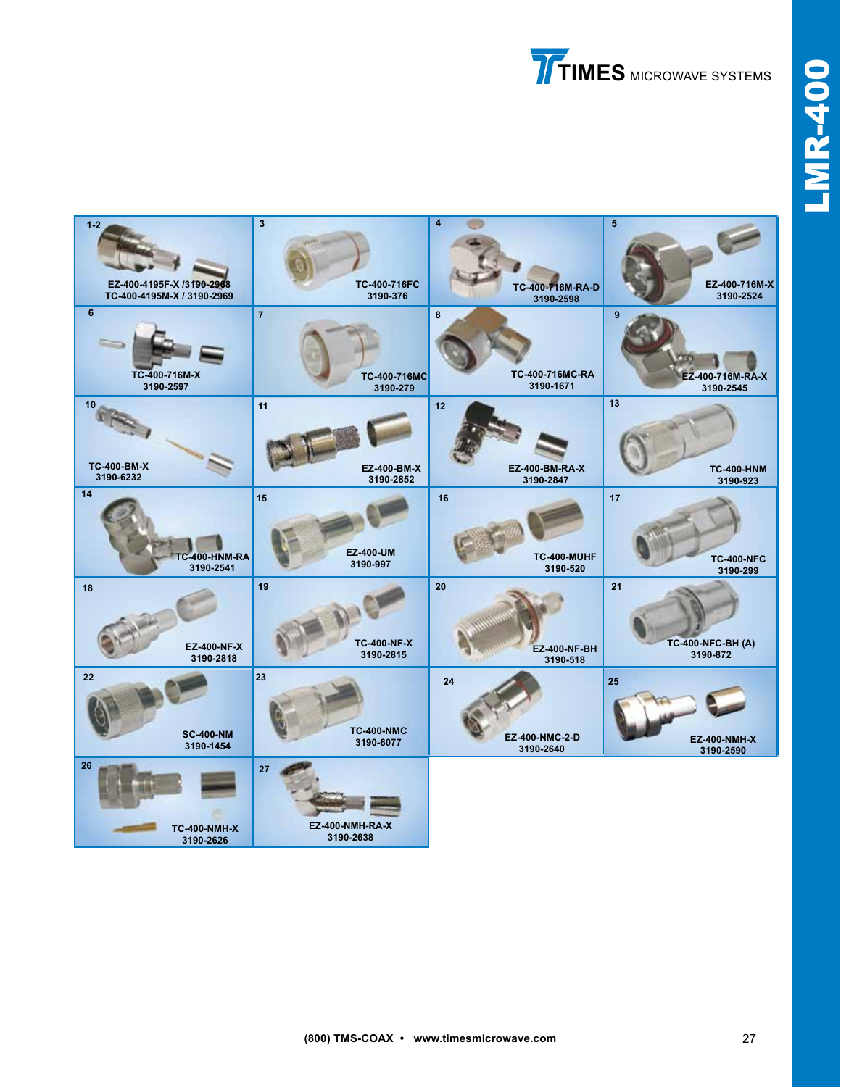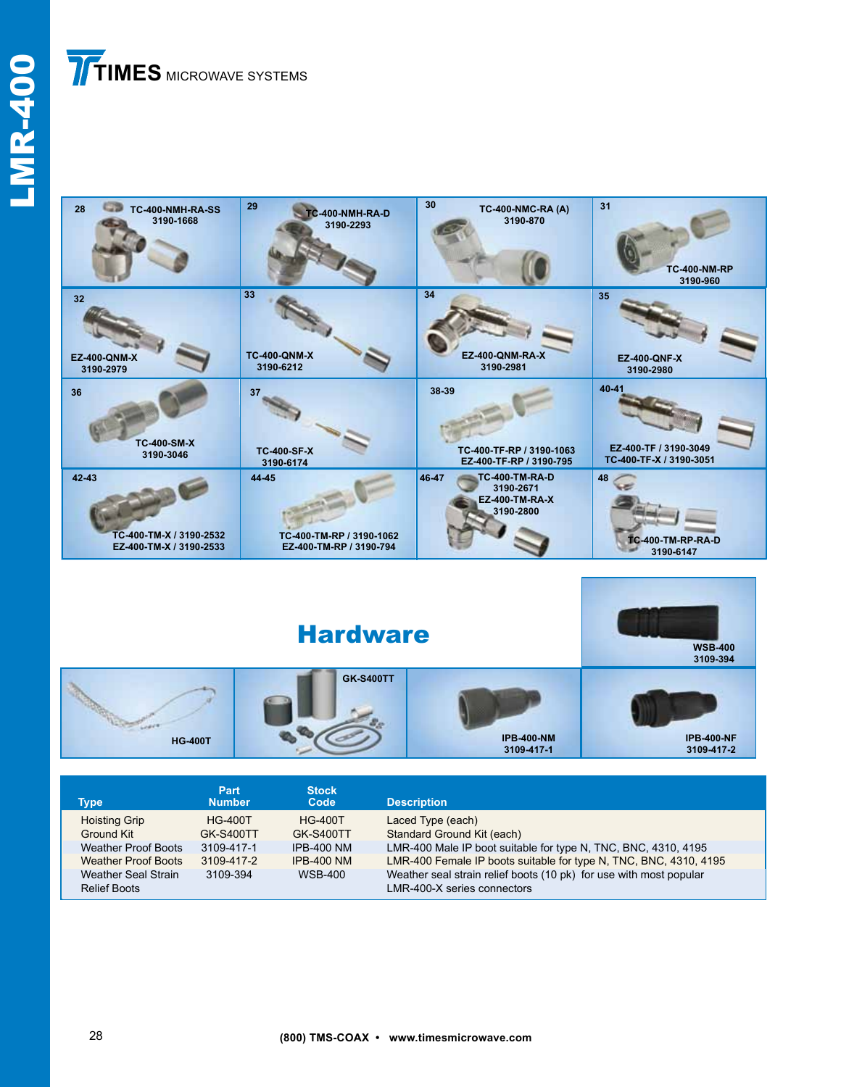# **TIMES** MICROWAVE SYSTEMS





| Type                                       | Part<br><b>Number</b>              | <b>Stock</b><br>Code               | <b>Description</b>                                                                                |
|--------------------------------------------|------------------------------------|------------------------------------|---------------------------------------------------------------------------------------------------|
| <b>Hoisting Grip</b><br>Ground Kit         | <b>HG-400T</b><br><b>GK-S400TT</b> | <b>HG-400T</b><br><b>GK-S400TT</b> | Laced Type (each)<br>Standard Ground Kit (each)                                                   |
| <b>Weather Proof Boots</b>                 | 3109-417-1                         | <b>IPB-400 NM</b>                  | LMR-400 Male IP boot suitable for type N, TNC, BNC, 4310, 4195                                    |
| <b>Weather Proof Boots</b>                 | 3109-417-2                         | <b>IPB-400 NM</b>                  | LMR-400 Female IP boots suitable for type N, TNC, BNC, 4310, 4195                                 |
| Weather Seal Strain<br><b>Relief Boots</b> | 3109-394                           | <b>WSB-400</b>                     | Weather seal strain relief boots (10 pk) for use with most popular<br>LMR-400-X series connectors |